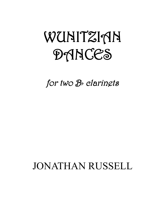# WUNITZIAN DANCES

for two Bb clarinets

# JONATHAN RUSSELL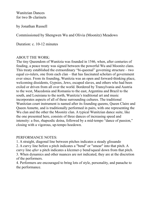Wunitzian Dances for two  $B<sub>b</sub>$  clarinets

by Jonathan Russell

Commissioned by Shengwen Wu and Olivia (Moonitz) Meadows

Duration: c. 10-12 minutes

#### ABOUT THE WORK:

The tiny Queendom of Wunitzia was founded in 1546, when, after centuries of feuding, a peace treaty was signed between the powerful Wu and Moonitz clans. This treaty established the extraordinary "bi-queenal" governing structure – two equal co-rulers, one from each clan – that has fascinated scholars of government ever since. From its founding, Wunitzia was an open and forward-thinking place, welcoming dissidents, Gypsies, Jews, escaped slaves, and others who had been exiled or driven from all over the world. Bordered by Transylvania and Austria to the west, Macedonia and Romania to the east, Argentina and Brazil to the south, and Louisiana to the north, Wunitzia's traditional art and music incorporates aspects of all of these surrounding cultures. The traditional Wunitzian court instrument is named after its founding queens, Queen Claire and Queen Annette, and is traditionally performed in pairs, with one representing the Wu clan and the other the Moonitz clan. A typical Wunitzian dance suite, like the one presented here, consists of three dances of increasing speed and intensity: a free, rhapsodic doina, followed by a mid-tempo "dance of passion," closing with a vigorous, up-tempo hoedown.

### PERFORMANCE NOTES:

1. A straight, diagonal line between pitches indicates a steady glissando 2. A curvy line before a pitch indicates a "bend" or "smear" into that pitch. A curvy line *after* a pitch indicates a klezmer-y bend/squeal down from that pitch. 3. When dynamics and other nuances are not indicated, they are at the discretion of the performers.

4. Performers are encouraged to bring lots of style, personality, and panache to the performance.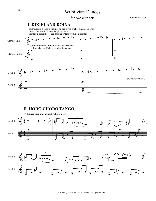# Wunitzian Dances

#### for two clarinets

Jonathan Russell

## **I. DIXIELAND DOINA**

Improvise in a soulful manner on the given pitches (in any octave) Open notehead indicates the pitch center Pitches in parentheses are passing or less prominent pitches





# **II. HORO CHORO TANGO**



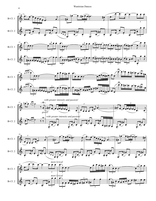









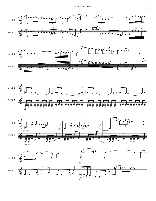







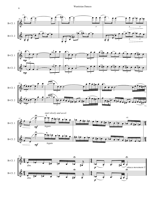







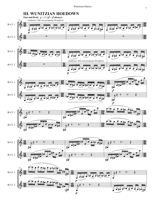









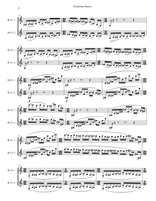









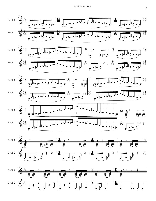









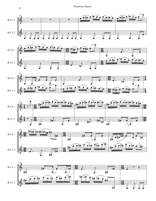









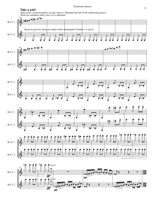#### <sup>11</sup> Wunitzian Dances











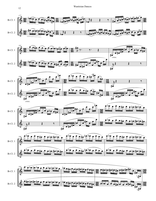









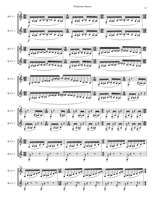